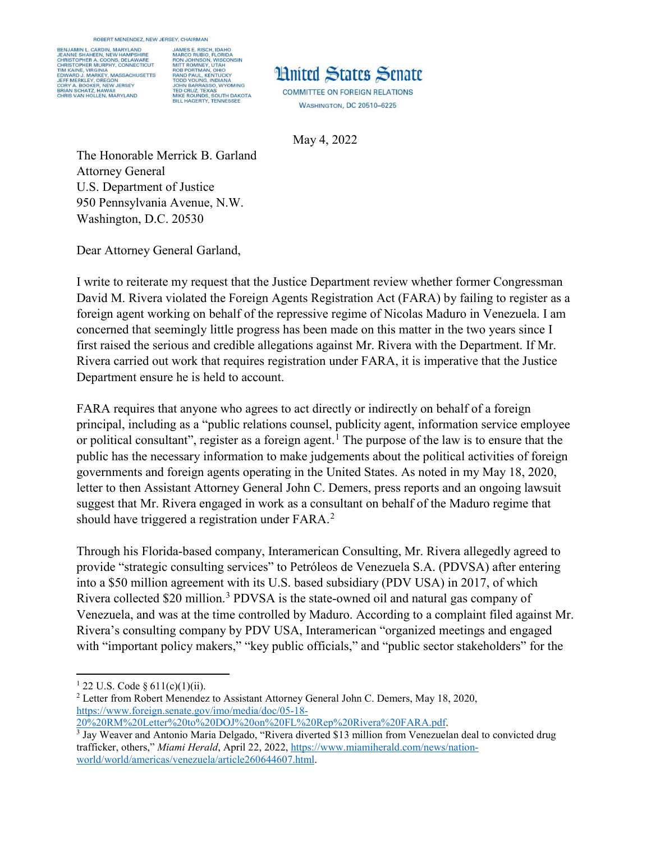ROBERT MENENDEZ, NEW JERSEY, CHAIRMAN

BENJAMIN L. CARDIN, MARYLAND JAMES E. RISCH, IDAHO<br>MARCO RUBIO, FLORIDA<br>RON JOHNSON, VISCONSIN<br>MITT ROMNEY, UTAH<br>MITT ROMNEY, UTAH<br>RAND PAUL, KENTUCKY<br>TODD YOUNG, INDIANA<br>JOHN BARRASSO, VYOMING<br>TED CRUZ, TEXAS<br>JUHN BARRASSO, VYOMING<br>MIKE ROUNDS, SOUTH JAMES E. RISCH, IDAHO **JE SHAHEEN, NEW HA** CHRISTOPHER A. COONS, DELAWARE<br>CHRISTOPHER MURPHY, CONNECTICUT TIM KAINE, VIRGINIA<br>EDWARD J. MARKEY, MASSACHUSETTS<br>JEFF MERKLEY, OREGON<br>CRY A. BOOKER, NEW JERSEY<br>BRIAN SCHATZ, HAWAII<br>CHRIS VAN HOLLEN, MARYLAND<br>CHRIS VAN HOLLEN, MARYLAND



**COMMITTEE ON FOREIGN RELATIONS WASHINGTON, DC 20510-6225** 

May 4, 2022

The Honorable Merrick B. Garland Attorney General U.S. Department of Justice 950 Pennsylvania Avenue, N.W. Washington, D.C. 20530

Dear Attorney General Garland,

I write to reiterate my request that the Justice Department review whether former Congressman David M. Rivera violated the Foreign Agents Registration Act (FARA) by failing to register as a foreign agent working on behalf of the repressive regime of Nicolas Maduro in Venezuela. I am concerned that seemingly little progress has been made on this matter in the two years since I first raised the serious and credible allegations against Mr. Rivera with the Department. If Mr. Rivera carried out work that requires registration under FARA, it is imperative that the Justice Department ensure he is held to account.

FARA requires that anyone who agrees to act directly or indirectly on behalf of a foreign principal, including as a "public relations counsel, publicity agent, information service employee or political consultant", register as a foreign agent.<sup>[1](#page-0-0)</sup> The purpose of the law is to ensure that the public has the necessary information to make judgements about the political activities of foreign governments and foreign agents operating in the United States. As noted in my May 18, 2020, letter to then Assistant Attorney General John C. Demers, press reports and an ongoing lawsuit suggest that Mr. Rivera engaged in work as a consultant on behalf of the Maduro regime that should have triggered a registration under  $FARA$ .

Through his Florida-based company, Interamerican Consulting, Mr. Rivera allegedly agreed to provide "strategic consulting services" to Petróleos de Venezuela S.A. (PDVSA) after entering into a \$50 million agreement with its U.S. based subsidiary (PDV USA) in 2017, of which Rivera collected \$20 million.<sup>[3](#page-0-2)</sup> PDVSA is the state-owned oil and natural gas company of Venezuela, and was at the time controlled by Maduro. According to a complaint filed against Mr. Rivera's consulting company by PDV USA, Interamerican "organized meetings and engaged with "important policy makers," "key public officials," and "public sector stakeholders" for the

l  $1$  22 U.S. Code § 611(c)(1)(ii).

<span id="page-0-1"></span><span id="page-0-0"></span><sup>2</sup> Letter from Robert Menendez to Assistant Attorney General John C. Demers, May 18, 2020, [https://www.foreign.senate.gov/imo/media/doc/05-18-](https://www.foreign.senate.gov/imo/media/doc/05-18-20%20RM%20Letter%20to%20DOJ%20on%20FL%20Rep%20Rivera%20FARA.pdf)

[<sup>20%20</sup>RM%20Letter%20to%20DOJ%20on%20FL%20Rep%20Rivera%20FARA.pdf.](https://www.foreign.senate.gov/imo/media/doc/05-18-20%20RM%20Letter%20to%20DOJ%20on%20FL%20Rep%20Rivera%20FARA.pdf)

<span id="page-0-2"></span><sup>&</sup>lt;sup>3</sup> Jay Weaver and Antonio Maria Delgado, "Rivera diverted \$13 million from Venezuelan deal to convicted drug trafficker, others," *Miami Herald*, April 22, 2022[, https://www.miamiherald.com/news/nation](https://www.miamiherald.com/news/nation-world/world/americas/venezuela/article260644607.html)[world/world/americas/venezuela/article260644607.html](https://www.miamiherald.com/news/nation-world/world/americas/venezuela/article260644607.html).